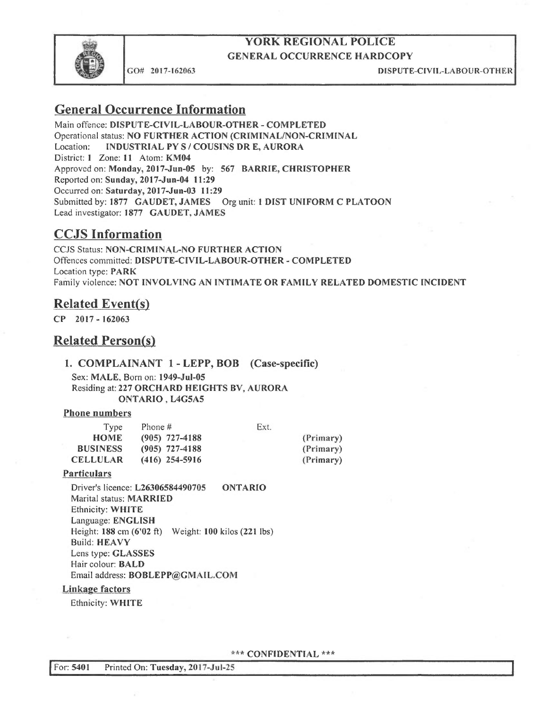

GO# 2017-162063 DISPUTE-CIVIL-LABOUR-OTHER

# General Occurrence Information

Main offence: DISPUTE-CIVIL-LABOUR-OTHER - COMPLETED Operational status: NO FURTHER ACTION (CRIMINAL/NON-CRIMINAL<br>Location: INDUSTRIAL PY S / COUSINS DR E. AURORA INDUSTRIAL PY S / COUSINS DR E, AURORA District: 1 Zone: 11 Atom: KM04 Approved on: Monday, 2017-Jun-OS by: 567 BARRIE, CHRISTOPHER Reported on: Sunday, 2017-Jun-04 11:29 Occurred on: Saturday, 2017-Jun-03 11:29 Submitted by: 1877 GAUDET, JAMES Org unit: 1 DIST UNIFORM C PLATOON Lead investigator: 1877 CAUDET, JAMES

## CCJS Information

CCJS Status: NON-CRIMINAL-NO FURTHER ACTION Offences committed: DISPUTE-CIVIL-LABOUR-OTHER -COMPLETED Location type: PARK Family violence: NOT INVOLVING AN INTIMATE OR FAMILY RELATED DOMESTIC [NCiDENT

## **Related Event(s)**

CP 2017 - 162063

## **Related Person(s)**

#### 1. COMPLAINANT 1 - LEPP, BOB (Case-specific)

Sex: MALE, Born on: 1949-Jul-OS Residing at: 227 ORCHARD HEIGHTS BV, AURORA ONTARIO , L4GSA5

#### Phone numbers

| Type            | Phone #          | Ext. |           |
|-----------------|------------------|------|-----------|
| <b>HOME</b>     | $(905)$ 727-4188 |      | (Primary) |
| <b>BUSINESS</b> | $(905)$ 727-4188 |      | (Primary) |
| <b>CELLULAR</b> | $(416)$ 254-5916 |      | (Primary) |

#### **Particulars**

Driver's licence: L26306584490705 ONTARIO Marital status: MARRIED Ethnicity: WHITE Language: ENGLISH Height: 188 cm (6'02 ft) Weight: 100 kilos (221 Ibs) Build: HEAVY Lens type: GLASSES Hair colour: BALD Email address: BOBLEPP@GMAIL.COM

#### Linkage factors

Ethnicity: WHITE

\*\*\* CONFIDENTIAL \*\*\*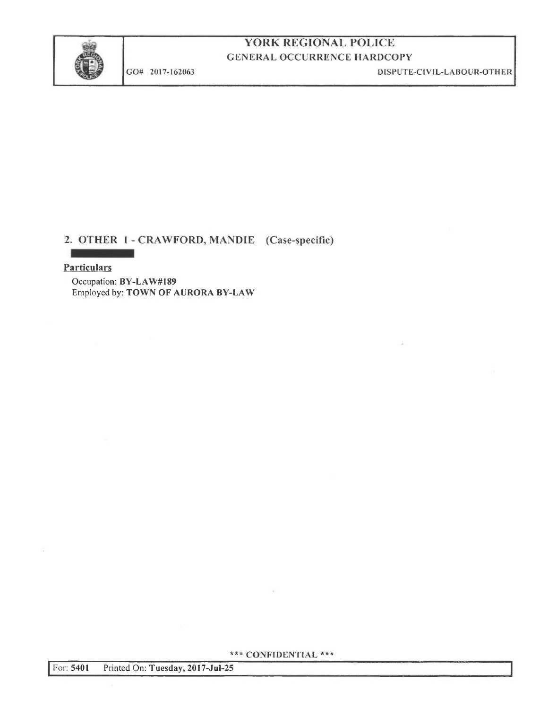

GO# 2017-162063

DISPUTE-CIVIL-LABOUR-OTHER

## 2. OTHER 1 - CRAWFORD, MANDIE (Case-specific)

#### **Particulars**

**STATISTICS** 

Occupation: BY-LAW#189 Employed by: TOWN OF AURORA BY-LAW

\*\*\* CONFIDENTIAL \*\*\*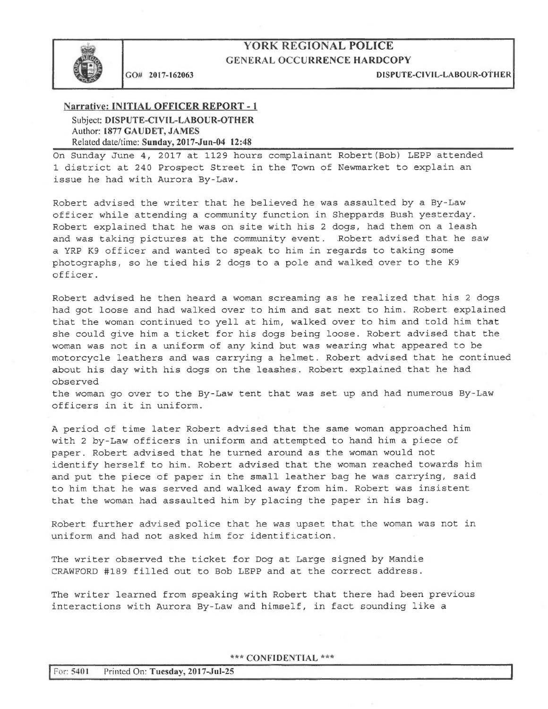

CO# 2017-162063 DISPUTE-CIVIL-LABOUR-OTHER

#### Narrative: INITIAL OFFICER REPORT - 1 Subject: DISPUTE-CIVIL-LABOUR-OTHER Author: 1877 GAUDET, JANIES Related date/time: Sunday, 2017-Jun-04 12:48

On Sunday June 4, 2017 at 1129 hours complainant Robert (Bob) LEPP attended 1 district at 240 Prospect Street in the Town of Newmarket to explain an issue he had with Aurora By-Law.

Robert advised the writer that he believed he was assaulted by a By-Law officer while attending a community function in Sheppards Bush yesterday. Robert explained that he was on site with his 2 dogs, had them on a leash and was taking pictures at the community event. .Robert advised that he saw a YRP K9 officer and wanted to speak to him in regards to taking some photographs, so he tied his 2 dogs to a pole and walked over to the K9 officer.

Robert advised he then heard a woman screaming as he realized that his 2 dogs had got loose and had walked over to him and sat next to him. Robert explained that the woman continued to yell at him, walked over to him and told him that she could give him a ticket for his dogs being loose. Robert advised that the woman was not in a uniform of any kind but was wearing what appeared to be motorcycle leathers and was carrying a helmet. Robert advised that he continued about his day with his dogs on the leashes. Robert explained that he had observed

the woman go over to the By-Law tent that was set up and had numerous By-Law officers in it in uniform.

A period of time later Robert advised that the same woman approached him with 2 by-Law officers in uniform and attempted to hand him a piece of paper. Robert advised that he turned around as the woman would not identify herself to him. Robert advised that the woman reached towards him and put the piece of paper in the small leather bag he was carrying, said to him that he was served and walked away from him. Robert was insistent that the woman had assaulted him by placing the paper in his bag.

Robert further advised police that he was upset that the woman was not in uniform and had not asked him for identification.

The writer observed the ticket for Dog at Large signed by Mandie CRAWFORD #189 filled out to Bob LEPP and at the correct address.

The writer learned from speaking with Robert that there had been previous interactions with Aurora By-Law and himself, in fact sounding like a

\*\*\* CONFIDENTIAL \*\*\*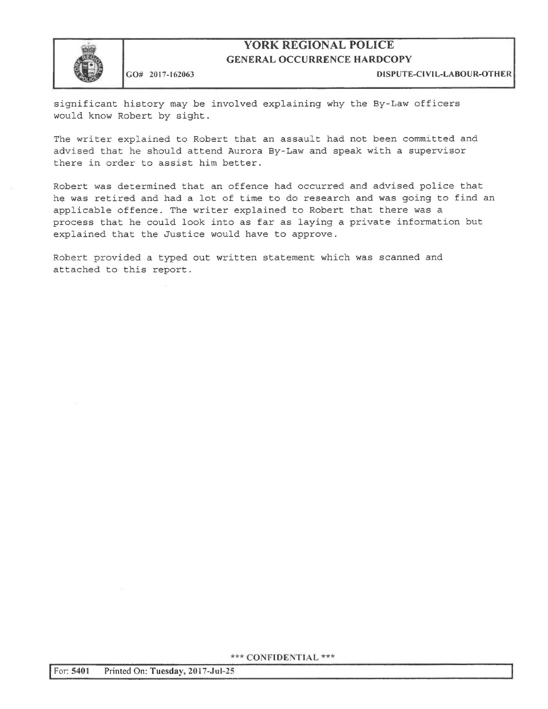

#### GU# 2017-162063 DISPUTE-C(VIL-LABOUR-OTHER

significant history may be involved explaining why the By-Law officers would know Robert by sight.

The writer explained to Robert that an assault had not been committed and advised that he should attend Aurora By-Law and speak with a supervisor there in order to assist him better.

Robert was determined that an offence had occurred and advised police that he was retired and had a lot of time to do research and was going to find an applicable offence. The writer explained to Robert that there was a process that he could look into as far as laying a private information but explained that the Justice would have to approve.

Robert provided a typed out written statement which was scanned and attached to this report.